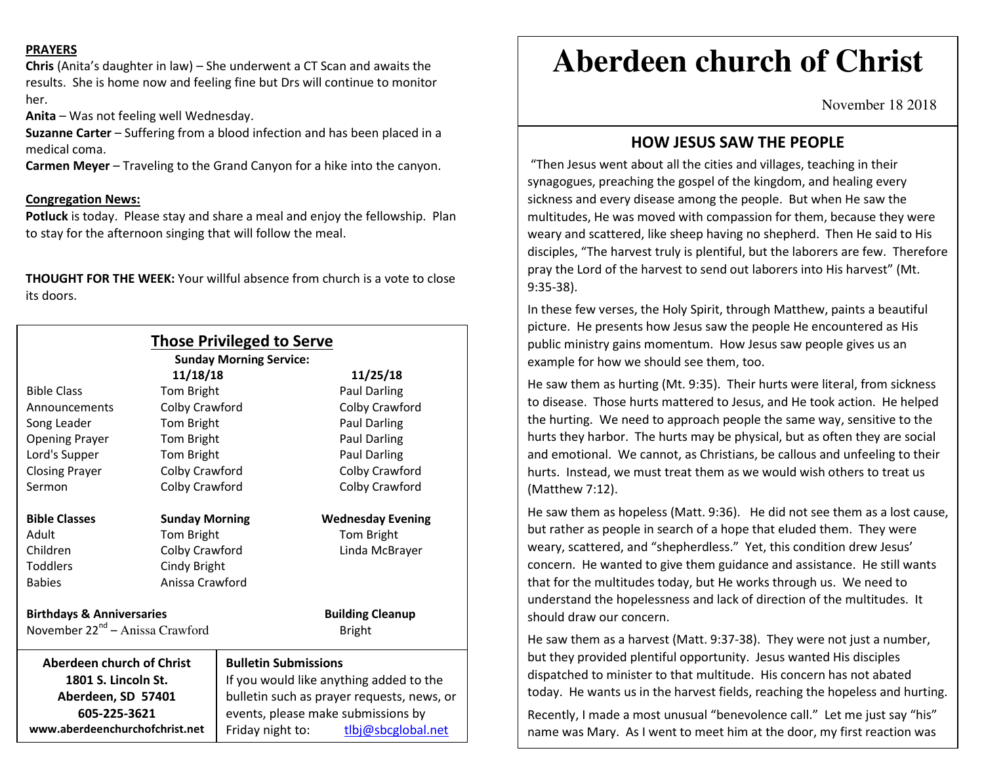#### **PRAYERS**

**Chris** (Anita's daughter in law) – She underwent a CT Scan and awaits the results. She is home now and feeling fine but Drs will continue to monitor her.

**Anita** – Was not feeling well Wednesday.

**Suzanne Carter** – Suffering from a blood infection and has been placed in a medical coma.

**Carmen Meyer** – Traveling to the Grand Canyon for a hike into the canyon.

#### **Congregation News:**

**Potluck** is today. Please stay and share a meal and enjoy the fellowship. Plan to stay for the afternoon singing that will follow the meal.

**THOUGHT FOR THE WEEK:** Your willful absence from church is a vote to closeits doors.

| <b>Those Privileged to Serve</b><br><b>Sunday Morning Service:</b> |                       |                                            |                          |
|--------------------------------------------------------------------|-----------------------|--------------------------------------------|--------------------------|
|                                                                    | 11/18/18              |                                            | 11/25/18                 |
| <b>Bible Class</b>                                                 | Tom Bright            |                                            | Paul Darling             |
| Announcements                                                      | Colby Crawford        |                                            | Colby Crawford           |
| Song Leader                                                        | Tom Bright            |                                            | Paul Darling             |
| <b>Opening Prayer</b>                                              | Tom Bright            |                                            | Paul Darling             |
| Lord's Supper                                                      | Tom Bright            |                                            | Paul Darling             |
| <b>Closing Prayer</b>                                              | Colby Crawford        |                                            | Colby Crawford           |
| Sermon                                                             | Colby Crawford        |                                            | Colby Crawford           |
| <b>Bible Classes</b>                                               | <b>Sunday Morning</b> |                                            | <b>Wednesday Evening</b> |
| Adult                                                              | Tom Bright            |                                            | Tom Bright               |
| Children                                                           | Colby Crawford        |                                            | Linda McBrayer           |
| <b>Toddlers</b>                                                    | Cindy Bright          |                                            |                          |
| <b>Babies</b>                                                      | Anissa Crawford       |                                            |                          |
| <b>Birthdays &amp; Anniversaries</b>                               |                       |                                            | <b>Building Cleanup</b>  |
| November 22 <sup>nd</sup> – Anissa Crawford                        |                       |                                            | <b>Bright</b>            |
| Aberdeen church of Christ                                          |                       | <b>Bulletin Submissions</b>                |                          |
| 1801 S. Lincoln St.                                                |                       | If you would like anything added to the    |                          |
| Aberdeen, SD 57401                                                 |                       | bulletin such as prayer requests, news, or |                          |
| 605-225-3621                                                       |                       | events, please make submissions by         |                          |
| www.aberdeenchurchofchrist.net                                     |                       | Friday night to:                           | tlbj@sbcglobal.net       |

# **Aberdeen church of Christ**

November 18 2018

## **HOW JESUS SAW THE PEOPLE**

 "Then Jesus went about all the cities and villages, teaching in their synagogues, preaching the gospel of the kingdom, and healing every sickness and every disease among the people. But when He saw the multitudes, He was moved with compassion for them, because they were weary and scattered, like sheep having no shepherd. Then He said to His disciples, "The harvest truly is plentiful, but the laborers are few. Therefore pray the Lord of the harvest to send out laborers into His harvest" (Mt. 9:35-38).

In these few verses, the Holy Spirit, through Matthew, paints a beautiful picture. He presents how Jesus saw the people He encountered as His public ministry gains momentum. How Jesus saw people gives us an example for how we should see them, too.

He saw them as hurting (Mt. 9:35). Their hurts were literal, from sickness to disease. Those hurts mattered to Jesus, and He took action. He helped the hurting. We need to approach people the same way, sensitive to the hurts they harbor. The hurts may be physical, but as often they are social and emotional. We cannot, as Christians, be callous and unfeeling to their hurts. Instead, we must treat them as we would wish others to treat us (Matthew 7:12).

He saw them as hopeless (Matt. 9:36). He did not see them as a lost cause, but rather as people in search of a hope that eluded them. They were weary, scattered, and "shepherdless." Yet, this condition drew Jesus' concern. He wanted to give them guidance and assistance. He still wants that for the multitudes today, but He works through us. We need to understand the hopelessness and lack of direction of the multitudes. It should draw our concern.

He saw them as a harvest (Matt. 9:37-38). They were not just a number, but they provided plentiful opportunity. Jesus wanted His disciples dispatched to minister to that multitude. His concern has not abated today. He wants us in the harvest fields, reaching the hopeless and hurting.

Recently, I made a most unusual "benevolence call." Let me just say "his" name was Mary. As I went to meet him at the door, my first reaction was

repulsion. Then, I felt pity. What causes a young man to become so